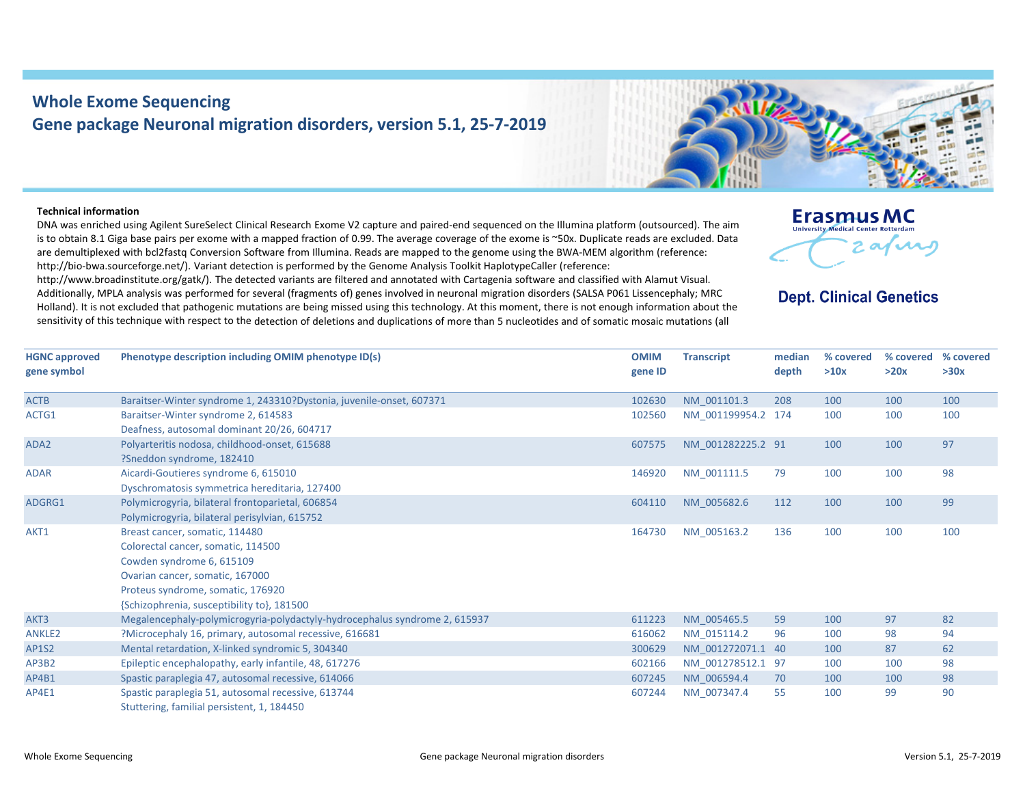## **Whole Exome Sequencing Gene package Neuronal migration disorders, version 5.1, 25‐7‐2019**

## **Technical information**

DNA was enriched using Agilent SureSelect Clinical Research Exome V2 capture and paired‐end sequenced on the Illumina platform (outsourced). The aim is to obtain 8.1 Giga base pairs per exome with <sup>a</sup> mapped fraction of 0.99. The average coverage of the exome is ~50x. Duplicate reads are excluded. Data are demultiplexed with bcl2fastq Conversion Software from Illumina. Reads are mapped to the genome using the BWA‐MEM algorithm (reference: http://bio-bwa.sourceforge.net/). Variant detection is performed by the Genome Analysis Toolkit HaplotypeCaller (reference:

http://www.broadinstitute.org/gatk/). The detected variants are filtered and annotated with Cartagenia software and classified with Alamut Visual. Additionally, MPLA analysis was performed for several (fragments of) genes involved in neuronal migration disorders (SALSA P061 Lissencephaly; MRC Holland). It is not excluded that pathogenic mutations are being missed using this technology. At this moment, there is not enough information about the sensitivity of this technique with respect to the detection of deletions and duplications of more than 5 nucleotides and of somatic mosaic mutations (all



## **Dept. Clinical Genetics**

| <b>HGNC approved</b><br>gene symbol | Phenotype description including OMIM phenotype ID(s)                                                                                                                                                                    | <b>OMIM</b><br>gene ID | <b>Transcript</b>  | median<br>depth | % covered<br>>10x | % covered<br>>20x | % covered<br>>30x |
|-------------------------------------|-------------------------------------------------------------------------------------------------------------------------------------------------------------------------------------------------------------------------|------------------------|--------------------|-----------------|-------------------|-------------------|-------------------|
| <b>ACTB</b>                         | Baraitser-Winter syndrome 1, 243310?Dystonia, juvenile-onset, 607371                                                                                                                                                    | 102630                 | NM 001101.3        | 208             | 100               | 100               | 100               |
| ACTG1                               | Baraitser-Winter syndrome 2, 614583<br>Deafness, autosomal dominant 20/26, 604717                                                                                                                                       | 102560                 | NM 001199954.2 174 |                 | 100               | 100               | 100               |
| ADA <sub>2</sub>                    | Polyarteritis nodosa, childhood-onset, 615688<br>?Sneddon syndrome, 182410                                                                                                                                              | 607575                 | NM 001282225.2 91  |                 | 100               | 100               | 97                |
| <b>ADAR</b>                         | Aicardi-Goutieres syndrome 6, 615010<br>Dyschromatosis symmetrica hereditaria, 127400                                                                                                                                   | 146920                 | NM 001111.5        | 79              | 100               | 100               | 98                |
| ADGRG1                              | Polymicrogyria, bilateral frontoparietal, 606854<br>Polymicrogyria, bilateral perisylvian, 615752                                                                                                                       | 604110                 | NM 005682.6        | 112             | 100               | 100               | 99                |
| AKT1                                | Breast cancer, somatic, 114480<br>Colorectal cancer, somatic, 114500<br>Cowden syndrome 6, 615109<br>Ovarian cancer, somatic, 167000<br>Proteus syndrome, somatic, 176920<br>{Schizophrenia, susceptibility to}, 181500 | 164730                 | NM_005163.2        | 136             | 100               | 100               | 100               |
| AKT3                                | Megalencephaly-polymicrogyria-polydactyly-hydrocephalus syndrome 2, 615937                                                                                                                                              | 611223                 | NM 005465.5        | 59              | 100               | 97                | 82                |
| <b>ANKLE2</b>                       | ?Microcephaly 16, primary, autosomal recessive, 616681                                                                                                                                                                  | 616062                 | NM 015114.2        | 96              | 100               | 98                | 94                |
| <b>AP1S2</b>                        | Mental retardation, X-linked syndromic 5, 304340                                                                                                                                                                        | 300629                 | NM 001272071.1 40  |                 | 100               | 87                | 62                |
| AP3B2                               | Epileptic encephalopathy, early infantile, 48, 617276                                                                                                                                                                   | 602166                 | NM 001278512.1 97  |                 | 100               | 100               | 98                |
| AP4B1                               | Spastic paraplegia 47, autosomal recessive, 614066                                                                                                                                                                      | 607245                 | NM 006594.4        | 70              | 100               | 100               | 98                |
| AP4E1                               | Spastic paraplegia 51, autosomal recessive, 613744<br>Stuttering, familial persistent, 1, 184450                                                                                                                        | 607244                 | NM 007347.4        | 55              | 100               | 99                | 90                |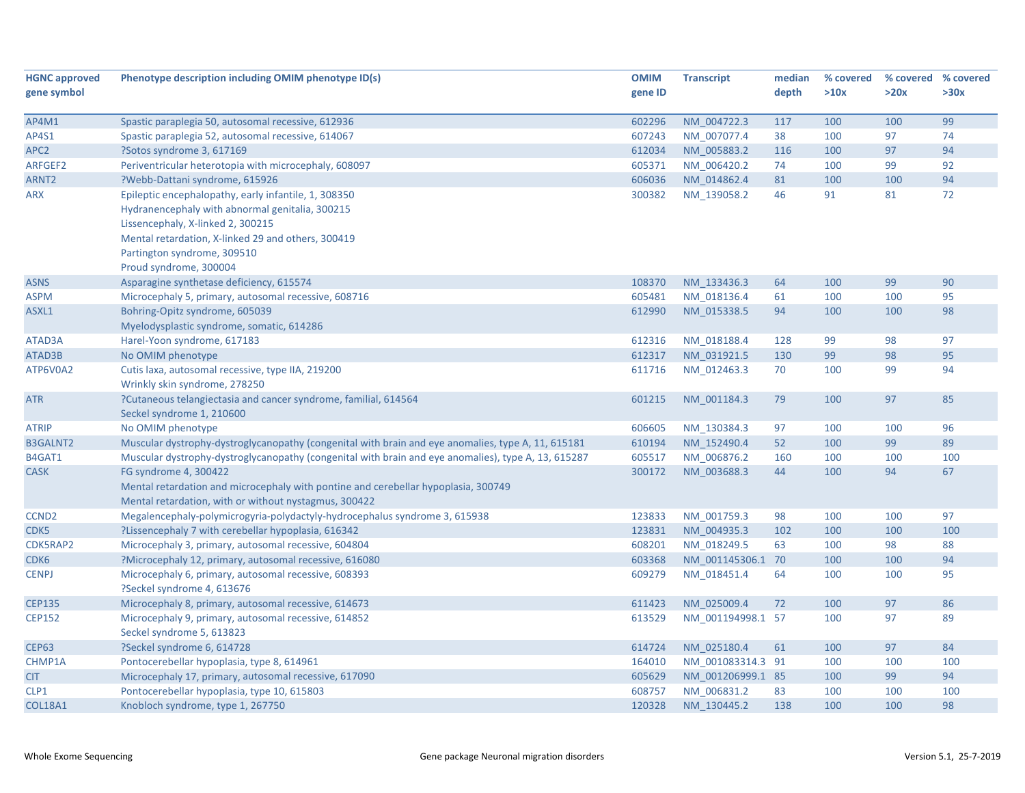| <b>HGNC approved</b> | Phenotype description including OMIM phenotype ID(s)                                                    | <b>OMIM</b> | <b>Transcript</b> | median | % covered | % covered % covered |      |
|----------------------|---------------------------------------------------------------------------------------------------------|-------------|-------------------|--------|-----------|---------------------|------|
| gene symbol          |                                                                                                         | gene ID     |                   | depth  | >10x      | >20x                | >30x |
|                      |                                                                                                         |             |                   |        |           |                     |      |
| AP4M1                | Spastic paraplegia 50, autosomal recessive, 612936                                                      | 602296      | NM 004722.3       | 117    | 100       | 100                 | 99   |
| AP4S1                | Spastic paraplegia 52, autosomal recessive, 614067                                                      | 607243      | NM 007077.4       | 38     | 100       | 97                  | 74   |
| APC <sub>2</sub>     | ?Sotos syndrome 3, 617169                                                                               | 612034      | NM 005883.2       | 116    | 100       | 97                  | 94   |
| ARFGEF2              | Periventricular heterotopia with microcephaly, 608097                                                   | 605371      | NM_006420.2       | 74     | 100       | 99                  | 92   |
| ARNT <sub>2</sub>    | ?Webb-Dattani syndrome, 615926                                                                          | 606036      | NM 014862.4       | 81     | 100       | 100                 | 94   |
| <b>ARX</b>           | Epileptic encephalopathy, early infantile, 1, 308350<br>Hydranencephaly with abnormal genitalia, 300215 | 300382      | NM 139058.2       | 46     | 91        | 81                  | 72   |
|                      | Lissencephaly, X-linked 2, 300215                                                                       |             |                   |        |           |                     |      |
|                      | Mental retardation, X-linked 29 and others, 300419                                                      |             |                   |        |           |                     |      |
|                      | Partington syndrome, 309510                                                                             |             |                   |        |           |                     |      |
|                      | Proud syndrome, 300004                                                                                  |             |                   |        |           |                     |      |
| <b>ASNS</b>          | Asparagine synthetase deficiency, 615574                                                                | 108370      | NM 133436.3       | 64     | 100       | 99                  | 90   |
| <b>ASPM</b>          | Microcephaly 5, primary, autosomal recessive, 608716                                                    | 605481      | NM_018136.4       | 61     | 100       | 100                 | 95   |
| ASXL1                | Bohring-Opitz syndrome, 605039                                                                          | 612990      | NM 015338.5       | 94     | 100       | 100                 | 98   |
|                      | Myelodysplastic syndrome, somatic, 614286                                                               |             |                   |        |           |                     |      |
| ATAD3A               | Harel-Yoon syndrome, 617183                                                                             | 612316      | NM 018188.4       | 128    | 99        | 98                  | 97   |
| ATAD3B               | No OMIM phenotype                                                                                       | 612317      | NM 031921.5       | 130    | 99        | 98                  | 95   |
| ATP6V0A2             | Cutis laxa, autosomal recessive, type IIA, 219200                                                       | 611716      | NM 012463.3       | 70     | 100       | 99                  | 94   |
|                      | Wrinkly skin syndrome, 278250                                                                           |             |                   |        |           |                     |      |
| <b>ATR</b>           | ?Cutaneous telangiectasia and cancer syndrome, familial, 614564                                         | 601215      | NM 001184.3       | 79     | 100       | 97                  | 85   |
|                      | Seckel syndrome 1, 210600                                                                               |             |                   |        |           |                     |      |
| <b>ATRIP</b>         | No OMIM phenotype                                                                                       | 606605      | NM 130384.3       | 97     | 100       | 100                 | 96   |
| <b>B3GALNT2</b>      | Muscular dystrophy-dystroglycanopathy (congenital with brain and eye anomalies, type A, 11, 615181      | 610194      | NM 152490.4       | 52     | 100       | 99                  | 89   |
| B4GAT1               | Muscular dystrophy-dystroglycanopathy (congenital with brain and eye anomalies), type A, 13, 615287     | 605517      | NM_006876.2       | 160    | 100       | 100                 | 100  |
| <b>CASK</b>          | FG syndrome 4, 300422                                                                                   | 300172      | NM 003688.3       | 44     | 100       | 94                  | 67   |
|                      | Mental retardation and microcephaly with pontine and cerebellar hypoplasia, 300749                      |             |                   |        |           |                     |      |
|                      | Mental retardation, with or without nystagmus, 300422                                                   |             |                   |        |           |                     |      |
| CCND <sub>2</sub>    | Megalencephaly-polymicrogyria-polydactyly-hydrocephalus syndrome 3, 615938                              | 123833      | NM 001759.3       | 98     | 100       | 100                 | 97   |
| CDK5                 | ?Lissencephaly 7 with cerebellar hypoplasia, 616342                                                     | 123831      | NM_004935.3       | 102    | 100       | 100                 | 100  |
| CDK5RAP2             | Microcephaly 3, primary, autosomal recessive, 604804                                                    | 608201      | NM 018249.5       | 63     | 100       | 98                  | 88   |
| CDK6                 | ?Microcephaly 12, primary, autosomal recessive, 616080                                                  | 603368      | NM_001145306.1 70 |        | 100       | 100                 | 94   |
| <b>CENPJ</b>         | Microcephaly 6, primary, autosomal recessive, 608393                                                    | 609279      | NM 018451.4       | 64     | 100       | 100                 | 95   |
|                      | ?Seckel syndrome 4, 613676                                                                              |             |                   |        |           |                     |      |
| <b>CEP135</b>        | Microcephaly 8, primary, autosomal recessive, 614673                                                    | 611423      | NM 025009.4       | 72     | 100       | 97                  | 86   |
| <b>CEP152</b>        | Microcephaly 9, primary, autosomal recessive, 614852                                                    | 613529      | NM 001194998.1 57 |        | 100       | 97                  | 89   |
|                      | Seckel syndrome 5, 613823                                                                               |             |                   |        |           |                     |      |
| <b>CEP63</b>         | ?Seckel syndrome 6, 614728                                                                              | 614724      | NM 025180.4       | 61     | 100       | 97                  | 84   |
| CHMP1A               | Pontocerebellar hypoplasia, type 8, 614961                                                              | 164010      | NM 001083314.3 91 |        | 100       | 100                 | 100  |
| <b>CIT</b>           | Microcephaly 17, primary, autosomal recessive, 617090                                                   | 605629      | NM_001206999.1 85 |        | 100       | 99                  | 94   |
| CLP1                 | Pontocerebellar hypoplasia, type 10, 615803                                                             | 608757      | NM 006831.2       | 83     | 100       | 100                 | 100  |
| <b>COL18A1</b>       | Knobloch syndrome, type 1, 267750                                                                       | 120328      | NM 130445.2       | 138    | 100       | 100                 | 98   |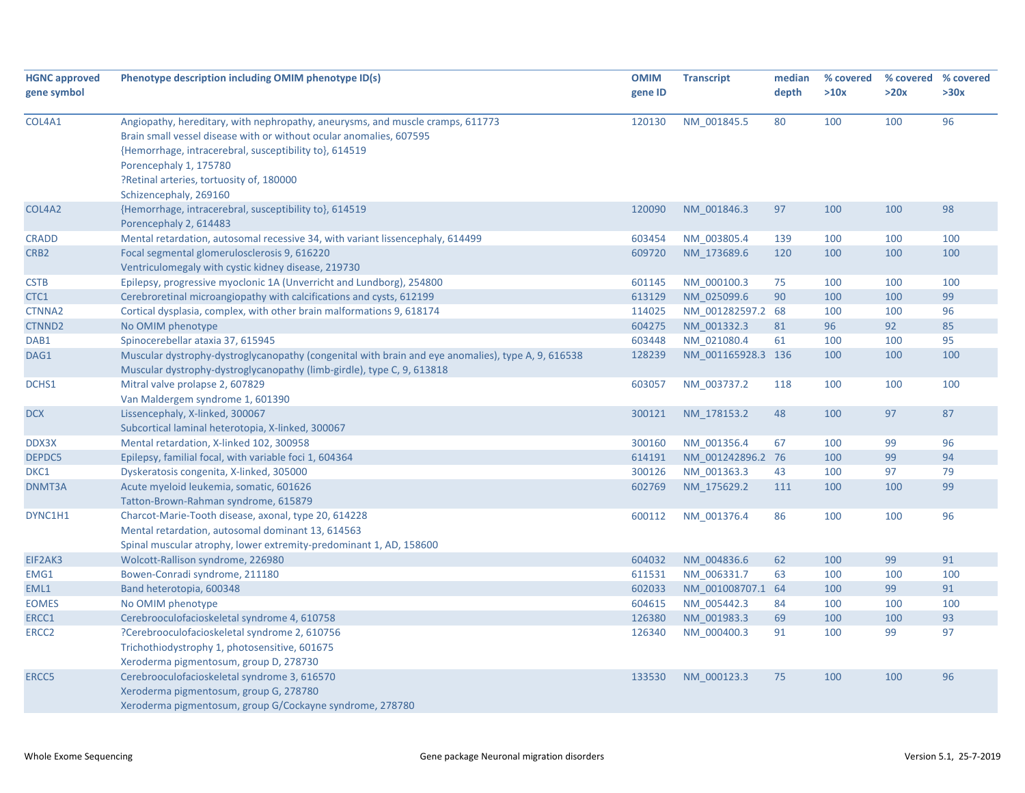| <b>HGNC approved</b> | Phenotype description including OMIM phenotype ID(s)                                               | <b>OMIM</b> | <b>Transcript</b>  | median | % covered | % covered % covered |      |
|----------------------|----------------------------------------------------------------------------------------------------|-------------|--------------------|--------|-----------|---------------------|------|
| gene symbol          |                                                                                                    | gene ID     |                    | depth  | >10x      | >20x                | >30x |
|                      |                                                                                                    |             |                    |        |           |                     |      |
| COL4A1               | Angiopathy, hereditary, with nephropathy, aneurysms, and muscle cramps, 611773                     | 120130      | NM 001845.5        | 80     | 100       | 100                 | 96   |
|                      | Brain small vessel disease with or without ocular anomalies, 607595                                |             |                    |        |           |                     |      |
|                      | {Hemorrhage, intracerebral, susceptibility to}, 614519                                             |             |                    |        |           |                     |      |
|                      | Porencephaly 1, 175780                                                                             |             |                    |        |           |                     |      |
|                      | ?Retinal arteries, tortuosity of, 180000                                                           |             |                    |        |           |                     |      |
|                      | Schizencephaly, 269160                                                                             |             |                    |        |           |                     |      |
| COL4A2               | {Hemorrhage, intracerebral, susceptibility to}, 614519                                             | 120090      | NM 001846.3        | 97     | 100       | 100                 | 98   |
|                      | Porencephaly 2, 614483                                                                             |             |                    |        |           |                     |      |
| <b>CRADD</b>         | Mental retardation, autosomal recessive 34, with variant lissencephaly, 614499                     | 603454      | NM 003805.4        | 139    | 100       | 100                 | 100  |
| CRB <sub>2</sub>     | Focal segmental glomerulosclerosis 9, 616220                                                       | 609720      | NM_173689.6        | 120    | 100       | 100                 | 100  |
|                      | Ventriculomegaly with cystic kidney disease, 219730                                                |             |                    |        |           |                     |      |
| <b>CSTB</b>          | Epilepsy, progressive myoclonic 1A (Unverricht and Lundborg), 254800                               | 601145      | NM_000100.3        | 75     | 100       | 100                 | 100  |
| CTC1                 | Cerebroretinal microangiopathy with calcifications and cysts, 612199                               | 613129      | NM 025099.6        | 90     | 100       | 100                 | 99   |
| <b>CTNNA2</b>        | Cortical dysplasia, complex, with other brain malformations 9, 618174                              | 114025      | NM_001282597.2 68  |        | 100       | 100                 | 96   |
| CTNND <sub>2</sub>   | No OMIM phenotype                                                                                  | 604275      | NM 001332.3        | 81     | 96        | 92                  | 85   |
| DAB1                 | Spinocerebellar ataxia 37, 615945                                                                  | 603448      | NM_021080.4        | 61     | 100       | 100                 | 95   |
| DAG1                 | Muscular dystrophy-dystroglycanopathy (congenital with brain and eye anomalies), type A, 9, 616538 | 128239      | NM 001165928.3 136 |        | 100       | 100                 | 100  |
|                      | Muscular dystrophy-dystroglycanopathy (limb-girdle), type C, 9, 613818                             |             |                    |        |           |                     |      |
| DCHS1                | Mitral valve prolapse 2, 607829                                                                    | 603057      | NM 003737.2        | 118    | 100       | 100                 | 100  |
|                      | Van Maldergem syndrome 1, 601390                                                                   |             |                    |        |           |                     |      |
| <b>DCX</b>           | Lissencephaly, X-linked, 300067                                                                    | 300121      | NM 178153.2        | 48     | 100       | 97                  | 87   |
|                      | Subcortical laminal heterotopia, X-linked, 300067                                                  |             |                    |        |           |                     |      |
| DDX3X                | Mental retardation, X-linked 102, 300958                                                           | 300160      | NM 001356.4        | 67     | 100       | 99                  | 96   |
| DEPDC5               | Epilepsy, familial focal, with variable foci 1, 604364                                             | 614191      | NM 001242896.2 76  |        | 100       | 99                  | 94   |
| DKC1                 | Dyskeratosis congenita, X-linked, 305000                                                           | 300126      | NM 001363.3        | 43     | 100       | 97                  | 79   |
| DNMT3A               | Acute myeloid leukemia, somatic, 601626                                                            | 602769      | NM 175629.2        | 111    | 100       | 100                 | 99   |
|                      | Tatton-Brown-Rahman syndrome, 615879                                                               |             |                    |        |           |                     |      |
| DYNC1H1              | Charcot-Marie-Tooth disease, axonal, type 20, 614228                                               | 600112      | NM 001376.4        | 86     | 100       | 100                 | 96   |
|                      | Mental retardation, autosomal dominant 13, 614563                                                  |             |                    |        |           |                     |      |
|                      | Spinal muscular atrophy, lower extremity-predominant 1, AD, 158600                                 |             |                    |        |           |                     |      |
| EIF2AK3              | Wolcott-Rallison syndrome, 226980                                                                  | 604032      | NM 004836.6        | 62     | 100       | 99                  | 91   |
| EMG1                 | Bowen-Conradi syndrome, 211180                                                                     | 611531      | NM_006331.7        | 63     | 100       | 100                 | 100  |
| EML1                 | Band heterotopia, 600348                                                                           | 602033      | NM 001008707.1 64  |        | 100       | 99                  | 91   |
| <b>EOMES</b>         | No OMIM phenotype                                                                                  | 604615      | NM 005442.3        | 84     | 100       | 100                 | 100  |
| ERCC1                | Cerebrooculofacioskeletal syndrome 4, 610758                                                       | 126380      | NM 001983.3        | 69     | 100       | 100                 | 93   |
| ERCC <sub>2</sub>    | ?Cerebrooculofacioskeletal syndrome 2, 610756                                                      | 126340      | NM 000400.3        | 91     | 100       | 99                  | 97   |
|                      | Trichothiodystrophy 1, photosensitive, 601675                                                      |             |                    |        |           |                     |      |
|                      | Xeroderma pigmentosum, group D, 278730                                                             |             |                    |        |           |                     |      |
| ERCC5                | Cerebrooculofacioskeletal syndrome 3, 616570                                                       | 133530      | NM 000123.3        | 75     | 100       | 100                 | 96   |
|                      | Xeroderma pigmentosum, group G, 278780                                                             |             |                    |        |           |                     |      |
|                      | Xeroderma pigmentosum, group G/Cockayne syndrome, 278780                                           |             |                    |        |           |                     |      |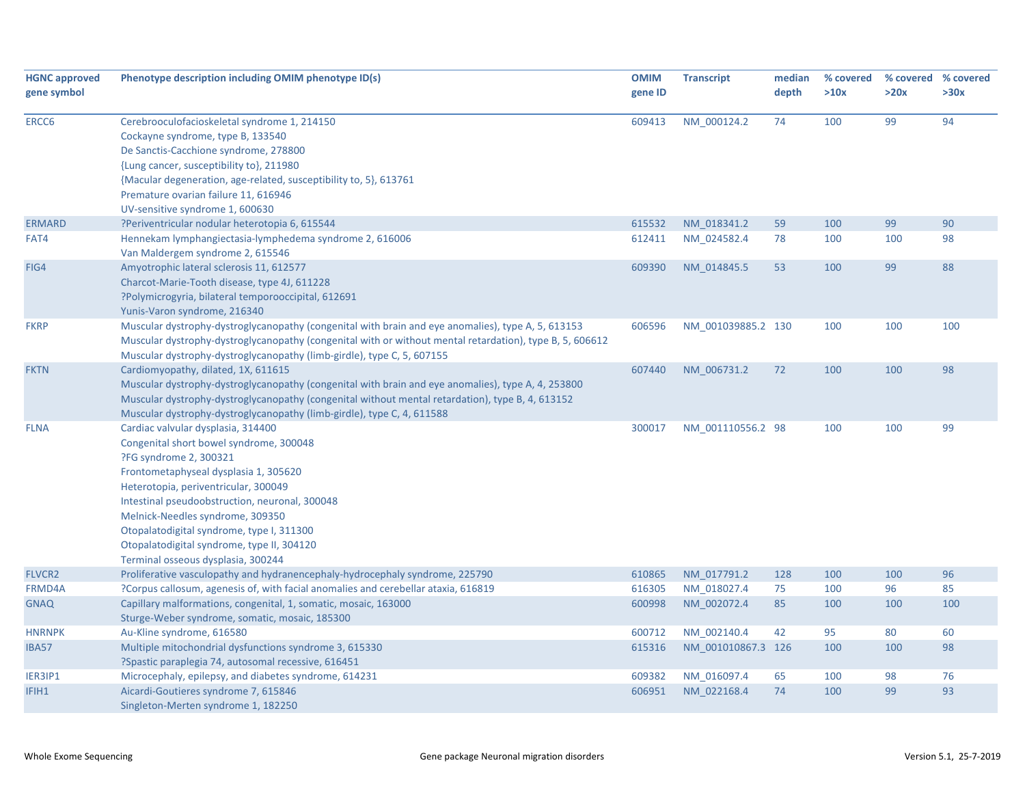| <b>HGNC approved</b><br>gene symbol | Phenotype description including OMIM phenotype ID(s)                                                     | <b>OMIM</b><br>gene ID | <b>Transcript</b>  | median<br>depth | % covered<br>>10x | >20x | % covered % covered<br>>30x |
|-------------------------------------|----------------------------------------------------------------------------------------------------------|------------------------|--------------------|-----------------|-------------------|------|-----------------------------|
|                                     |                                                                                                          |                        |                    |                 |                   |      |                             |
| ERCC6                               | Cerebrooculofacioskeletal syndrome 1, 214150                                                             | 609413                 | NM_000124.2        | 74              | 100               | 99   | 94                          |
|                                     | Cockayne syndrome, type B, 133540                                                                        |                        |                    |                 |                   |      |                             |
|                                     | De Sanctis-Cacchione syndrome, 278800                                                                    |                        |                    |                 |                   |      |                             |
|                                     | {Lung cancer, susceptibility to}, 211980                                                                 |                        |                    |                 |                   |      |                             |
|                                     | {Macular degeneration, age-related, susceptibility to, 5}, 613761                                        |                        |                    |                 |                   |      |                             |
|                                     | Premature ovarian failure 11, 616946                                                                     |                        |                    |                 |                   |      |                             |
|                                     | UV-sensitive syndrome 1, 600630                                                                          |                        |                    |                 |                   |      |                             |
| <b>ERMARD</b>                       | ?Periventricular nodular heterotopia 6, 615544                                                           | 615532                 | NM 018341.2        | 59              | 100               | 99   | 90                          |
| FAT4                                | Hennekam lymphangiectasia-lymphedema syndrome 2, 616006                                                  | 612411                 | NM 024582.4        | 78              | 100               | 100  | 98                          |
|                                     | Van Maldergem syndrome 2, 615546                                                                         |                        |                    |                 |                   |      |                             |
| FIG4                                | Amyotrophic lateral sclerosis 11, 612577                                                                 | 609390                 | NM_014845.5        | 53              | 100               | 99   | 88                          |
|                                     | Charcot-Marie-Tooth disease, type 4J, 611228                                                             |                        |                    |                 |                   |      |                             |
|                                     | ?Polymicrogyria, bilateral temporooccipital, 612691                                                      |                        |                    |                 |                   |      |                             |
|                                     | Yunis-Varon syndrome, 216340                                                                             |                        |                    |                 |                   |      |                             |
| <b>FKRP</b>                         | Muscular dystrophy-dystroglycanopathy (congenital with brain and eye anomalies), type A, 5, 613153       | 606596                 | NM 001039885.2 130 |                 | 100               | 100  | 100                         |
|                                     | Muscular dystrophy-dystroglycanopathy (congenital with or without mental retardation), type B, 5, 606612 |                        |                    |                 |                   |      |                             |
|                                     | Muscular dystrophy-dystroglycanopathy (limb-girdle), type C, 5, 607155                                   |                        |                    |                 |                   |      |                             |
| <b>FKTN</b>                         | Cardiomyopathy, dilated, 1X, 611615                                                                      | 607440                 | NM 006731.2        | 72              | 100               | 100  | 98                          |
|                                     | Muscular dystrophy-dystroglycanopathy (congenital with brain and eye anomalies), type A, 4, 253800       |                        |                    |                 |                   |      |                             |
|                                     | Muscular dystrophy-dystroglycanopathy (congenital without mental retardation), type B, 4, 613152         |                        |                    |                 |                   |      |                             |
|                                     | Muscular dystrophy-dystroglycanopathy (limb-girdle), type C, 4, 611588                                   |                        |                    |                 |                   |      |                             |
| <b>FLNA</b>                         | Cardiac valvular dysplasia, 314400                                                                       | 300017                 | NM 001110556.2 98  |                 | 100               | 100  | 99                          |
|                                     | Congenital short bowel syndrome, 300048                                                                  |                        |                    |                 |                   |      |                             |
|                                     | ?FG syndrome 2, 300321                                                                                   |                        |                    |                 |                   |      |                             |
|                                     | Frontometaphyseal dysplasia 1, 305620                                                                    |                        |                    |                 |                   |      |                             |
|                                     | Heterotopia, periventricular, 300049                                                                     |                        |                    |                 |                   |      |                             |
|                                     | Intestinal pseudoobstruction, neuronal, 300048                                                           |                        |                    |                 |                   |      |                             |
|                                     | Melnick-Needles syndrome, 309350                                                                         |                        |                    |                 |                   |      |                             |
|                                     | Otopalatodigital syndrome, type I, 311300                                                                |                        |                    |                 |                   |      |                             |
|                                     | Otopalatodigital syndrome, type II, 304120                                                               |                        |                    |                 |                   |      |                             |
|                                     | Terminal osseous dysplasia, 300244                                                                       |                        |                    |                 |                   |      |                             |
| <b>FLVCR2</b>                       | Proliferative vasculopathy and hydranencephaly-hydrocephaly syndrome, 225790                             | 610865                 | NM 017791.2        | 128             | 100               | 100  | 96                          |
| FRMD4A                              | ?Corpus callosum, agenesis of, with facial anomalies and cerebellar ataxia, 616819                       | 616305                 | NM_018027.4        | 75              | 100               | 96   | 85                          |
| <b>GNAQ</b>                         | Capillary malformations, congenital, 1, somatic, mosaic, 163000                                          | 600998                 | NM_002072.4        | 85              | 100               | 100  | 100                         |
|                                     | Sturge-Weber syndrome, somatic, mosaic, 185300                                                           |                        |                    |                 |                   |      |                             |
| <b>HNRNPK</b>                       | Au-Kline syndrome, 616580                                                                                | 600712                 | NM_002140.4        | 42              | 95                | 80   | 60                          |
| IBA57                               | Multiple mitochondrial dysfunctions syndrome 3, 615330                                                   | 615316                 | NM_001010867.3 126 |                 | 100               | 100  | 98                          |
|                                     | ?Spastic paraplegia 74, autosomal recessive, 616451                                                      |                        |                    |                 |                   |      |                             |
| IER3IP1                             | Microcephaly, epilepsy, and diabetes syndrome, 614231                                                    | 609382                 | NM 016097.4        | 65              | 100               | 98   | 76                          |
| IFIH1                               | Aicardi-Goutieres syndrome 7, 615846                                                                     | 606951                 | NM_022168.4        | 74              | 100               | 99   | 93                          |
|                                     | Singleton-Merten syndrome 1, 182250                                                                      |                        |                    |                 |                   |      |                             |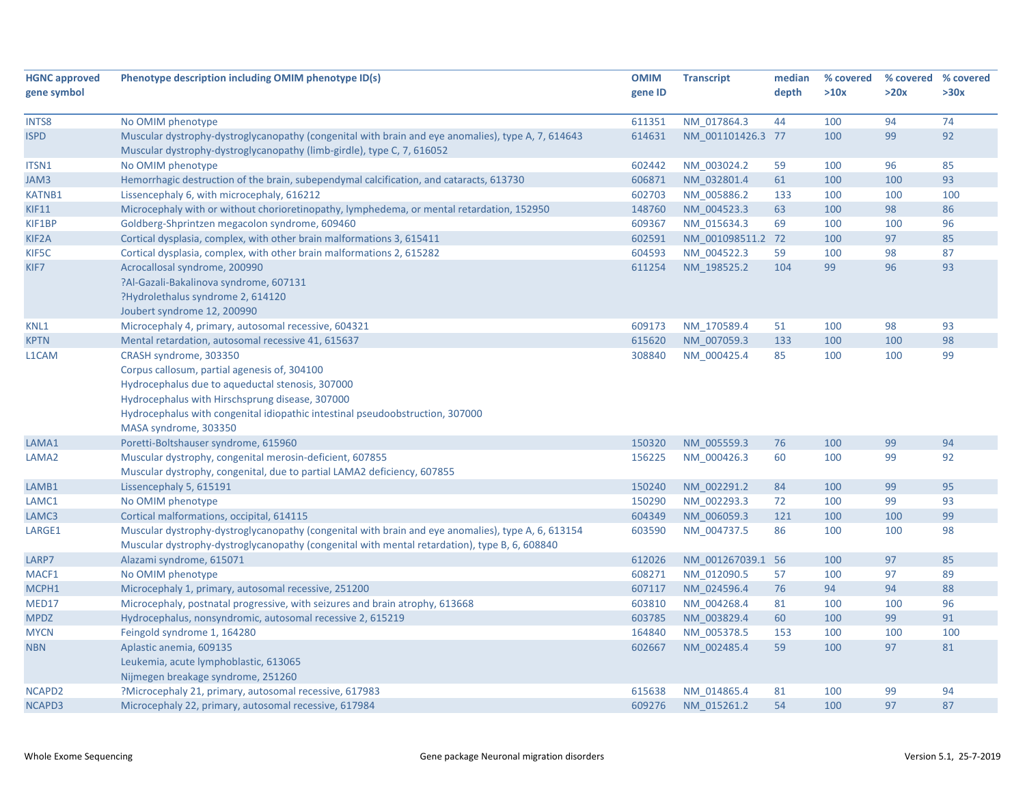| <b>HGNC approved</b> | Phenotype description including OMIM phenotype ID(s)                                               | <b>OMIM</b> | <b>Transcript</b> | median | % covered | % covered % covered |      |
|----------------------|----------------------------------------------------------------------------------------------------|-------------|-------------------|--------|-----------|---------------------|------|
| gene symbol          |                                                                                                    | gene ID     |                   | depth  | >10x      | >20x                | >30x |
|                      |                                                                                                    |             |                   |        |           |                     |      |
| INTS8                | No OMIM phenotype                                                                                  | 611351      | NM 017864.3       | 44     | 100       | 94                  | 74   |
| <b>ISPD</b>          | Muscular dystrophy-dystroglycanopathy (congenital with brain and eye anomalies), type A, 7, 614643 | 614631      | NM 001101426.3 77 |        | 100       | 99                  | 92   |
|                      | Muscular dystrophy-dystroglycanopathy (limb-girdle), type C, 7, 616052                             |             |                   |        |           |                     |      |
| ITSN1                | No OMIM phenotype                                                                                  | 602442      | NM 003024.2       | 59     | 100       | 96                  | 85   |
| JAM3                 | Hemorrhagic destruction of the brain, subependymal calcification, and cataracts, 613730            | 606871      | NM 032801.4       | 61     | 100       | 100                 | 93   |
| <b>KATNB1</b>        | Lissencephaly 6, with microcephaly, 616212                                                         | 602703      | NM 005886.2       | 133    | 100       | 100                 | 100  |
| <b>KIF11</b>         | Microcephaly with or without chorioretinopathy, lymphedema, or mental retardation, 152950          | 148760      | NM 004523.3       | 63     | 100       | 98                  | 86   |
| KIF1BP               | Goldberg-Shprintzen megacolon syndrome, 609460                                                     | 609367      | NM_015634.3       | 69     | 100       | 100                 | 96   |
| KIF2A                | Cortical dysplasia, complex, with other brain malformations 3, 615411                              | 602591      | NM 001098511.2 72 |        | 100       | 97                  | 85   |
| KIF5C                | Cortical dysplasia, complex, with other brain malformations 2, 615282                              | 604593      | NM 004522.3       | 59     | 100       | 98                  | 87   |
| KIF7                 | Acrocallosal syndrome, 200990                                                                      | 611254      | NM 198525.2       | 104    | 99        | 96                  | 93   |
|                      | ?Al-Gazali-Bakalinova syndrome, 607131                                                             |             |                   |        |           |                     |      |
|                      | ?Hydrolethalus syndrome 2, 614120                                                                  |             |                   |        |           |                     |      |
|                      | Joubert syndrome 12, 200990                                                                        |             |                   |        |           |                     |      |
| KNL1                 | Microcephaly 4, primary, autosomal recessive, 604321                                               | 609173      | NM_170589.4       | 51     | 100       | 98                  | 93   |
| <b>KPTN</b>          | Mental retardation, autosomal recessive 41, 615637                                                 | 615620      | NM 007059.3       | 133    | 100       | 100                 | 98   |
| L1CAM                | CRASH syndrome, 303350                                                                             | 308840      | NM_000425.4       | 85     | 100       | 100                 | 99   |
|                      | Corpus callosum, partial agenesis of, 304100                                                       |             |                   |        |           |                     |      |
|                      | Hydrocephalus due to aqueductal stenosis, 307000                                                   |             |                   |        |           |                     |      |
|                      | Hydrocephalus with Hirschsprung disease, 307000                                                    |             |                   |        |           |                     |      |
|                      | Hydrocephalus with congenital idiopathic intestinal pseudoobstruction, 307000                      |             |                   |        |           |                     |      |
|                      | MASA syndrome, 303350                                                                              |             |                   |        |           |                     |      |
| LAMA1                | Poretti-Boltshauser syndrome, 615960                                                               | 150320      | NM 005559.3       | 76     | 100       | 99                  | 94   |
| LAMA2                | Muscular dystrophy, congenital merosin-deficient, 607855                                           | 156225      | NM 000426.3       | 60     | 100       | 99                  | 92   |
|                      | Muscular dystrophy, congenital, due to partial LAMA2 deficiency, 607855                            |             |                   |        |           |                     |      |
| LAMB1                | Lissencephaly 5, 615191                                                                            | 150240      | NM 002291.2       | 84     | 100       | 99                  | 95   |
| LAMC1                | No OMIM phenotype                                                                                  | 150290      | NM 002293.3       | 72     | 100       | 99                  | 93   |
| LAMC3                | Cortical malformations, occipital, 614115                                                          | 604349      | NM 006059.3       | 121    | 100       | 100                 | 99   |
| LARGE1               | Muscular dystrophy-dystroglycanopathy (congenital with brain and eye anomalies), type A, 6, 613154 | 603590      | NM 004737.5       | 86     | 100       | 100                 | 98   |
|                      | Muscular dystrophy-dystroglycanopathy (congenital with mental retardation), type B, 6, 608840      |             |                   |        |           |                     |      |
| LARP7                | Alazami syndrome, 615071                                                                           | 612026      | NM 001267039.1 56 |        | 100       | 97                  | 85   |
| MACF1                | No OMIM phenotype                                                                                  | 608271      | NM 012090.5       | 57     | 100       | 97                  | 89   |
| MCPH1                | Microcephaly 1, primary, autosomal recessive, 251200                                               | 607117      | NM 024596.4       | 76     | 94        | 94                  | 88   |
| MED17                | Microcephaly, postnatal progressive, with seizures and brain atrophy, 613668                       | 603810      | NM 004268.4       | 81     | 100       | 100                 | 96   |
| <b>MPDZ</b>          | Hydrocephalus, nonsyndromic, autosomal recessive 2, 615219                                         | 603785      | NM 003829.4       | 60     | 100       | 99                  | 91   |
| <b>MYCN</b>          | Feingold syndrome 1, 164280                                                                        | 164840      | NM 005378.5       | 153    | 100       | 100                 | 100  |
| <b>NBN</b>           | Aplastic anemia, 609135                                                                            | 602667      | NM_002485.4       | 59     | 100       | 97                  | 81   |
|                      | Leukemia, acute lymphoblastic, 613065                                                              |             |                   |        |           |                     |      |
|                      | Nijmegen breakage syndrome, 251260                                                                 |             |                   |        |           |                     |      |
| NCAPD2               | ?Microcephaly 21, primary, autosomal recessive, 617983                                             | 615638      | NM 014865.4       | 81     | 100       | 99                  | 94   |
| NCAPD3               | Microcephaly 22, primary, autosomal recessive, 617984                                              | 609276      | NM 015261.2       | 54     | 100       | 97                  | 87   |
|                      |                                                                                                    |             |                   |        |           |                     |      |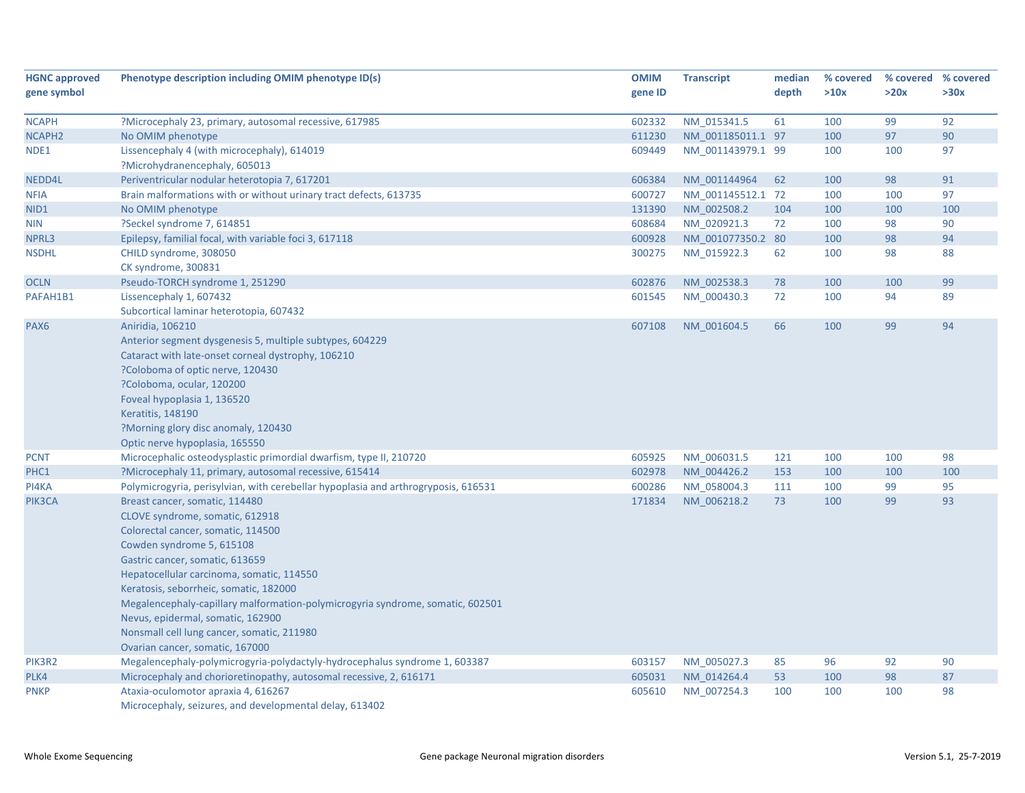| <b>HGNC approved</b><br>gene symbol | Phenotype description including OMIM phenotype ID(s)                                                                                                                                                                                                                                                                                                                                                                                                                   | <b>OMIM</b><br>gene ID | <b>Transcript</b> | median<br>depth | % covered<br>>10x | >20x | % covered % covered<br>>30x |
|-------------------------------------|------------------------------------------------------------------------------------------------------------------------------------------------------------------------------------------------------------------------------------------------------------------------------------------------------------------------------------------------------------------------------------------------------------------------------------------------------------------------|------------------------|-------------------|-----------------|-------------------|------|-----------------------------|
| <b>NCAPH</b>                        | ?Microcephaly 23, primary, autosomal recessive, 617985                                                                                                                                                                                                                                                                                                                                                                                                                 | 602332                 | NM 015341.5       | 61              | 100               | 99   | 92                          |
| NCAPH <sub>2</sub>                  | No OMIM phenotype                                                                                                                                                                                                                                                                                                                                                                                                                                                      | 611230                 | NM 001185011.1 97 |                 | 100               | 97   | 90                          |
| NDE1                                | Lissencephaly 4 (with microcephaly), 614019<br>?Microhydranencephaly, 605013                                                                                                                                                                                                                                                                                                                                                                                           | 609449                 | NM 001143979.1 99 |                 | 100               | 100  | 97                          |
| NEDD4L                              | Periventricular nodular heterotopia 7, 617201                                                                                                                                                                                                                                                                                                                                                                                                                          | 606384                 | NM 001144964      | 62              | 100               | 98   | 91                          |
| <b>NFIA</b>                         | Brain malformations with or without urinary tract defects, 613735                                                                                                                                                                                                                                                                                                                                                                                                      | 600727                 | NM 001145512.1 72 |                 | 100               | 100  | 97                          |
| NID1                                | No OMIM phenotype                                                                                                                                                                                                                                                                                                                                                                                                                                                      | 131390                 | NM 002508.2       | 104             | 100               | 100  | 100                         |
| <b>NIN</b>                          | ?Seckel syndrome 7, 614851                                                                                                                                                                                                                                                                                                                                                                                                                                             | 608684                 | NM 020921.3       | 72              | 100               | 98   | 90                          |
| NPRL3                               | Epilepsy, familial focal, with variable foci 3, 617118                                                                                                                                                                                                                                                                                                                                                                                                                 | 600928                 | NM 001077350.2 80 |                 | 100               | 98   | 94                          |
| <b>NSDHL</b>                        | CHILD syndrome, 308050                                                                                                                                                                                                                                                                                                                                                                                                                                                 | 300275                 | NM 015922.3       | 62              | 100               | 98   | 88                          |
|                                     | CK syndrome, 300831                                                                                                                                                                                                                                                                                                                                                                                                                                                    |                        |                   |                 |                   |      |                             |
| <b>OCLN</b>                         | Pseudo-TORCH syndrome 1, 251290                                                                                                                                                                                                                                                                                                                                                                                                                                        | 602876                 | NM 002538.3       | 78              | 100               | 100  | 99                          |
| PAFAH1B1                            | Lissencephaly 1, 607432<br>Subcortical laminar heterotopia, 607432                                                                                                                                                                                                                                                                                                                                                                                                     | 601545                 | NM 000430.3       | 72              | 100               | 94   | 89                          |
| PAX <sub>6</sub>                    | Aniridia, 106210<br>Anterior segment dysgenesis 5, multiple subtypes, 604229<br>Cataract with late-onset corneal dystrophy, 106210<br>?Coloboma of optic nerve, 120430<br>?Coloboma, ocular, 120200<br>Foveal hypoplasia 1, 136520<br>Keratitis, 148190<br>?Morning glory disc anomaly, 120430<br>Optic nerve hypoplasia, 165550                                                                                                                                       | 607108                 | NM 001604.5       | 66              | 100               | 99   | 94                          |
| <b>PCNT</b>                         | Microcephalic osteodysplastic primordial dwarfism, type II, 210720                                                                                                                                                                                                                                                                                                                                                                                                     | 605925                 | NM_006031.5       | 121             | 100               | 100  | 98                          |
| PHC1                                | ?Microcephaly 11, primary, autosomal recessive, 615414                                                                                                                                                                                                                                                                                                                                                                                                                 | 602978                 | NM 004426.2       | 153             | 100               | 100  | 100                         |
| PI4KA                               | Polymicrogyria, perisylvian, with cerebellar hypoplasia and arthrogryposis, 616531                                                                                                                                                                                                                                                                                                                                                                                     | 600286                 | NM 058004.3       | 111             | 100               | 99   | 95                          |
| PIK3CA                              | Breast cancer, somatic, 114480<br>CLOVE syndrome, somatic, 612918<br>Colorectal cancer, somatic, 114500<br>Cowden syndrome 5, 615108<br>Gastric cancer, somatic, 613659<br>Hepatocellular carcinoma, somatic, 114550<br>Keratosis, seborrheic, somatic, 182000<br>Megalencephaly-capillary malformation-polymicrogyria syndrome, somatic, 602501<br>Nevus, epidermal, somatic, 162900<br>Nonsmall cell lung cancer, somatic, 211980<br>Ovarian cancer, somatic, 167000 | 171834                 | NM 006218.2       | 73              | 100               | 99   | 93                          |
| PIK3R2                              | Megalencephaly-polymicrogyria-polydactyly-hydrocephalus syndrome 1, 603387                                                                                                                                                                                                                                                                                                                                                                                             | 603157                 | NM 005027.3       | 85              | 96                | 92   | 90                          |
| PLK4                                | Microcephaly and chorioretinopathy, autosomal recessive, 2, 616171                                                                                                                                                                                                                                                                                                                                                                                                     | 605031                 | NM 014264.4       | 53              | 100               | 98   | 87                          |
| <b>PNKP</b>                         | Ataxia-oculomotor apraxia 4, 616267<br>Microcephaly, seizures, and developmental delay, 613402                                                                                                                                                                                                                                                                                                                                                                         | 605610                 | NM 007254.3       | 100             | 100               | 100  | 98                          |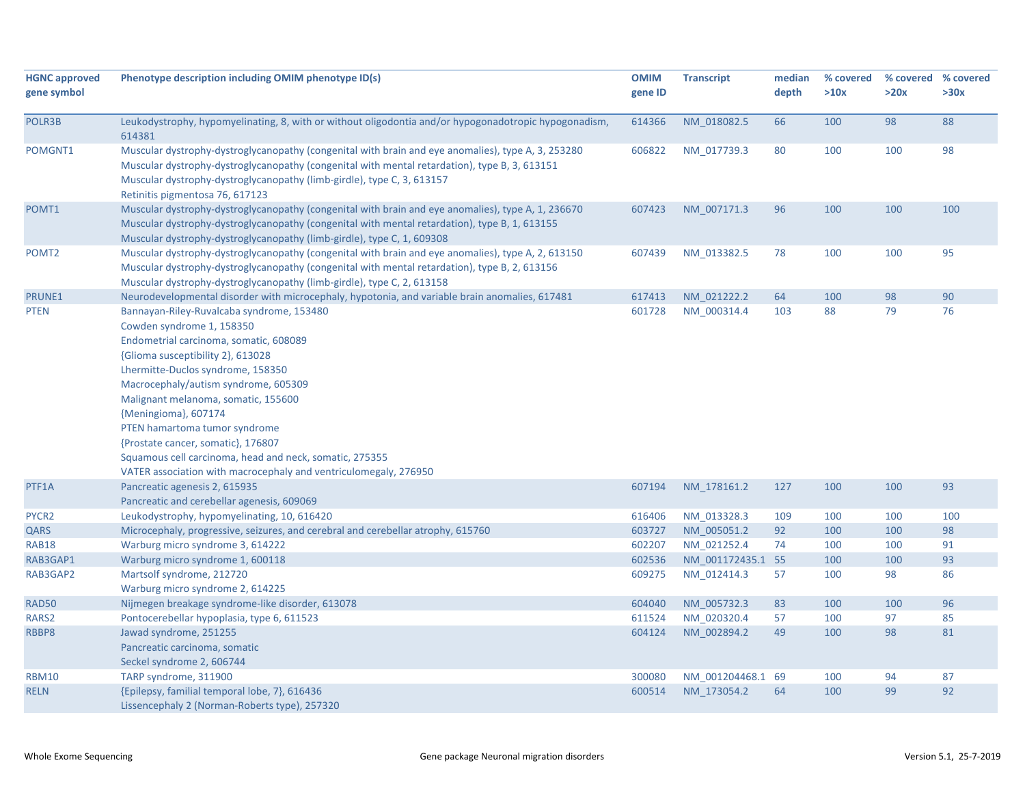| <b>HGNC approved</b><br>gene symbol | Phenotype description including OMIM phenotype ID(s)                                                                                                                                                                                                                                                                                                                                                                                                                                                                                     | <b>OMIM</b><br>gene ID | <b>Transcript</b>          | median<br>depth | % covered<br>>10x | % covered % covered<br>>20x | >30x     |
|-------------------------------------|------------------------------------------------------------------------------------------------------------------------------------------------------------------------------------------------------------------------------------------------------------------------------------------------------------------------------------------------------------------------------------------------------------------------------------------------------------------------------------------------------------------------------------------|------------------------|----------------------------|-----------------|-------------------|-----------------------------|----------|
| POLR3B                              | Leukodystrophy, hypomyelinating, 8, with or without oligodontia and/or hypogonadotropic hypogonadism,<br>614381                                                                                                                                                                                                                                                                                                                                                                                                                          | 614366                 | NM 018082.5                | 66              | 100               | 98                          | 88       |
| POMGNT1                             | Muscular dystrophy-dystroglycanopathy (congenital with brain and eye anomalies), type A, 3, 253280<br>Muscular dystrophy-dystroglycanopathy (congenital with mental retardation), type B, 3, 613151<br>Muscular dystrophy-dystroglycanopathy (limb-girdle), type C, 3, 613157<br>Retinitis pigmentosa 76, 617123                                                                                                                                                                                                                         | 606822                 | NM_017739.3                | 80              | 100               | 100                         | 98       |
| POMT1                               | Muscular dystrophy-dystroglycanopathy (congenital with brain and eye anomalies), type A, 1, 236670<br>Muscular dystrophy-dystroglycanopathy (congenital with mental retardation), type B, 1, 613155<br>Muscular dystrophy-dystroglycanopathy (limb-girdle), type C, 1, 609308                                                                                                                                                                                                                                                            | 607423                 | NM 007171.3                | 96              | 100               | 100                         | 100      |
| POMT <sub>2</sub>                   | Muscular dystrophy-dystroglycanopathy (congenital with brain and eye anomalies), type A, 2, 613150<br>Muscular dystrophy-dystroglycanopathy (congenital with mental retardation), type B, 2, 613156<br>Muscular dystrophy-dystroglycanopathy (limb-girdle), type C, 2, 613158                                                                                                                                                                                                                                                            | 607439                 | NM_013382.5                | 78              | 100               | 100                         | 95       |
| PRUNE1                              | Neurodevelopmental disorder with microcephaly, hypotonia, and variable brain anomalies, 617481                                                                                                                                                                                                                                                                                                                                                                                                                                           | 617413                 | NM 021222.2                | 64              | 100               | 98                          | 90       |
| <b>PTEN</b><br>PTF1A                | Bannayan-Riley-Ruvalcaba syndrome, 153480<br>Cowden syndrome 1, 158350<br>Endometrial carcinoma, somatic, 608089<br>{Glioma susceptibility 2}, 613028<br>Lhermitte-Duclos syndrome, 158350<br>Macrocephaly/autism syndrome, 605309<br>Malignant melanoma, somatic, 155600<br>{Meningioma}, 607174<br>PTEN hamartoma tumor syndrome<br>{Prostate cancer, somatic}, 176807<br>Squamous cell carcinoma, head and neck, somatic, 275355<br>VATER association with macrocephaly and ventriculomegaly, 276950<br>Pancreatic agenesis 2, 615935 | 601728<br>607194       | NM 000314.4<br>NM 178161.2 | 103<br>127      | 88<br>100         | 79<br>100                   | 76<br>93 |
|                                     | Pancreatic and cerebellar agenesis, 609069                                                                                                                                                                                                                                                                                                                                                                                                                                                                                               |                        |                            |                 |                   |                             |          |
| PYCR <sub>2</sub>                   | Leukodystrophy, hypomyelinating, 10, 616420                                                                                                                                                                                                                                                                                                                                                                                                                                                                                              | 616406                 | NM 013328.3                | 109             | 100               | 100                         | 100      |
| QARS                                | Microcephaly, progressive, seizures, and cerebral and cerebellar atrophy, 615760                                                                                                                                                                                                                                                                                                                                                                                                                                                         | 603727                 | NM 005051.2                | 92              | 100               | 100                         | 98       |
| <b>RAB18</b>                        | Warburg micro syndrome 3, 614222                                                                                                                                                                                                                                                                                                                                                                                                                                                                                                         | 602207                 | NM_021252.4                | 74              | 100               | 100                         | 91       |
| RAB3GAP1                            | Warburg micro syndrome 1, 600118                                                                                                                                                                                                                                                                                                                                                                                                                                                                                                         | 602536                 | NM 001172435.1 55          |                 | 100               | 100                         | 93       |
| RAB3GAP2                            | Martsolf syndrome, 212720<br>Warburg micro syndrome 2, 614225                                                                                                                                                                                                                                                                                                                                                                                                                                                                            | 609275                 | NM 012414.3                | 57              | 100               | 98                          | 86       |
| RAD50                               | Nijmegen breakage syndrome-like disorder, 613078                                                                                                                                                                                                                                                                                                                                                                                                                                                                                         | 604040                 | NM 005732.3                | 83              | 100               | 100                         | 96       |
| RARS2                               | Pontocerebellar hypoplasia, type 6, 611523                                                                                                                                                                                                                                                                                                                                                                                                                                                                                               | 611524                 | NM 020320.4                | 57              | 100               | 97                          | 85       |
| RBBP8                               | Jawad syndrome, 251255<br>Pancreatic carcinoma, somatic<br>Seckel syndrome 2, 606744                                                                                                                                                                                                                                                                                                                                                                                                                                                     | 604124                 | NM 002894.2                | 49              | 100               | 98                          | 81       |
| <b>RBM10</b>                        | TARP syndrome, 311900                                                                                                                                                                                                                                                                                                                                                                                                                                                                                                                    | 300080                 | NM 001204468.1 69          |                 | 100               | 94                          | 87       |
| <b>RELN</b>                         | {Epilepsy, familial temporal lobe, 7}, 616436<br>Lissencephaly 2 (Norman-Roberts type), 257320                                                                                                                                                                                                                                                                                                                                                                                                                                           | 600514                 | NM 173054.2                | 64              | 100               | 99                          | 92       |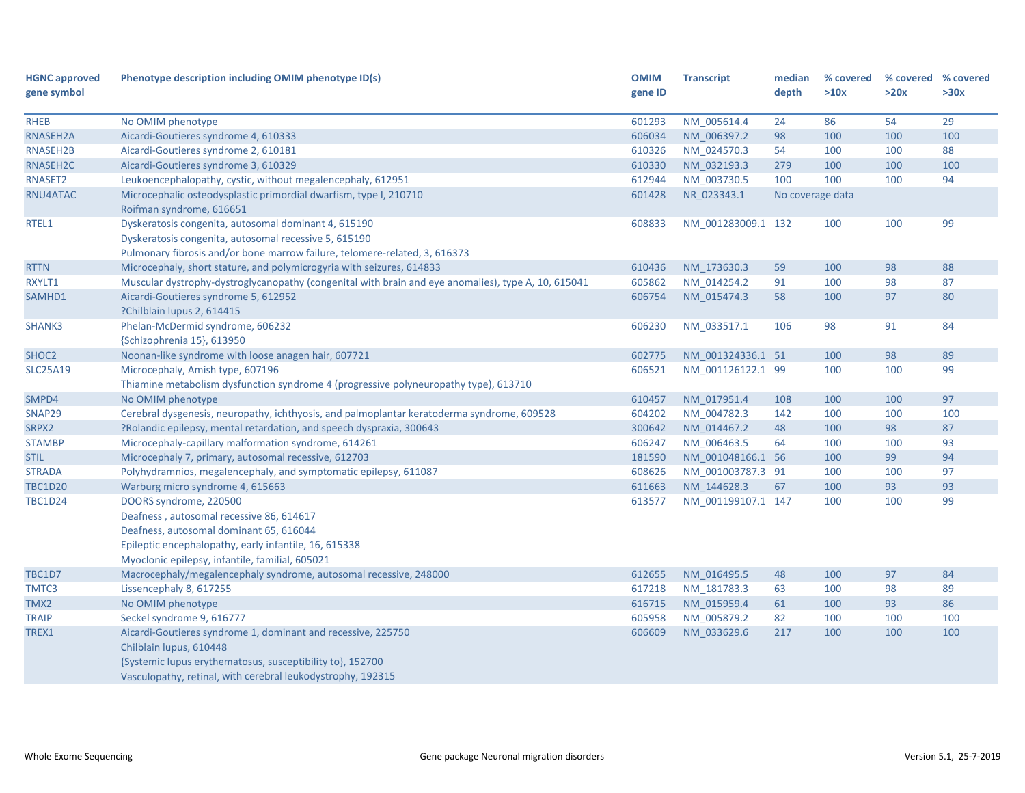| <b>HGNC approved</b> | Phenotype description including OMIM phenotype ID(s)                                                | <b>OMIM</b> | <b>Transcript</b>  | median           | % covered | % covered % covered |      |
|----------------------|-----------------------------------------------------------------------------------------------------|-------------|--------------------|------------------|-----------|---------------------|------|
| gene symbol          |                                                                                                     | gene ID     |                    | depth            | >10x      | >20x                | >30x |
|                      |                                                                                                     |             |                    |                  |           |                     |      |
| <b>RHEB</b>          | No OMIM phenotype                                                                                   | 601293      | NM_005614.4        | 24               | 86        | 54                  | 29   |
| RNASEH2A             | Aicardi-Goutieres syndrome 4, 610333                                                                | 606034      | NM_006397.2        | 98               | 100       | 100                 | 100  |
| RNASEH2B             | Aicardi-Goutieres syndrome 2, 610181                                                                | 610326      | NM 024570.3        | 54               | 100       | 100                 | 88   |
| RNASEH2C             | Aicardi-Goutieres syndrome 3, 610329                                                                | 610330      | NM_032193.3        | 279              | 100       | 100                 | 100  |
| RNASET2              | Leukoencephalopathy, cystic, without megalencephaly, 612951                                         | 612944      | NM_003730.5        | 100              | 100       | 100                 | 94   |
| RNU4ATAC             | Microcephalic osteodysplastic primordial dwarfism, type I, 210710                                   | 601428      | NR_023343.1        | No coverage data |           |                     |      |
|                      | Roifman syndrome, 616651                                                                            |             |                    |                  |           |                     |      |
| RTEL1                | Dyskeratosis congenita, autosomal dominant 4, 615190                                                | 608833      | NM_001283009.1 132 |                  | 100       | 100                 | 99   |
|                      | Dyskeratosis congenita, autosomal recessive 5, 615190                                               |             |                    |                  |           |                     |      |
|                      | Pulmonary fibrosis and/or bone marrow failure, telomere-related, 3, 616373                          |             |                    |                  |           |                     |      |
| <b>RTTN</b>          | Microcephaly, short stature, and polymicrogyria with seizures, 614833                               | 610436      | NM 173630.3        | 59               | 100       | 98                  | 88   |
| RXYLT1               | Muscular dystrophy-dystroglycanopathy (congenital with brain and eye anomalies), type A, 10, 615041 | 605862      | NM 014254.2        | 91               | 100       | 98                  | 87   |
| SAMHD1               | Aicardi-Goutieres syndrome 5, 612952                                                                | 606754      | NM 015474.3        | 58               | 100       | 97                  | 80   |
|                      | ?Chilblain lupus 2, 614415                                                                          |             |                    |                  |           |                     |      |
| <b>SHANK3</b>        | Phelan-McDermid syndrome, 606232                                                                    | 606230      | NM_033517.1        | 106              | 98        | 91                  | 84   |
|                      | {Schizophrenia 15}, 613950                                                                          |             |                    |                  |           |                     |      |
| SHOC <sub>2</sub>    | Noonan-like syndrome with loose anagen hair, 607721                                                 | 602775      | NM 001324336.1 51  |                  | 100       | 98                  | 89   |
| <b>SLC25A19</b>      | Microcephaly, Amish type, 607196                                                                    | 606521      | NM_001126122.1 99  |                  | 100       | 100                 | 99   |
|                      | Thiamine metabolism dysfunction syndrome 4 (progressive polyneuropathy type), 613710                |             |                    |                  |           |                     |      |
| SMPD4                | No OMIM phenotype                                                                                   | 610457      | NM_017951.4        | 108              | 100       | 100                 | 97   |
| SNAP29               | Cerebral dysgenesis, neuropathy, ichthyosis, and palmoplantar keratoderma syndrome, 609528          | 604202      | NM 004782.3        | 142              | 100       | 100                 | 100  |
| SRPX2                | ?Rolandic epilepsy, mental retardation, and speech dyspraxia, 300643                                | 300642      | NM_014467.2        | 48               | 100       | 98                  | 87   |
| <b>STAMBP</b>        | Microcephaly-capillary malformation syndrome, 614261                                                | 606247      | NM_006463.5        | 64               | 100       | 100                 | 93   |
| <b>STIL</b>          | Microcephaly 7, primary, autosomal recessive, 612703                                                | 181590      | NM 001048166.1 56  |                  | 100       | 99                  | 94   |
| <b>STRADA</b>        | Polyhydramnios, megalencephaly, and symptomatic epilepsy, 611087                                    | 608626      | NM_001003787.3 91  |                  | 100       | 100                 | 97   |
| <b>TBC1D20</b>       | Warburg micro syndrome 4, 615663                                                                    | 611663      | NM_144628.3        | 67               | 100       | 93                  | 93   |
| <b>TBC1D24</b>       | DOORS syndrome, 220500                                                                              | 613577      | NM 001199107.1 147 |                  | 100       | 100                 | 99   |
|                      | Deafness, autosomal recessive 86, 614617                                                            |             |                    |                  |           |                     |      |
|                      | Deafness, autosomal dominant 65, 616044                                                             |             |                    |                  |           |                     |      |
|                      | Epileptic encephalopathy, early infantile, 16, 615338                                               |             |                    |                  |           |                     |      |
|                      | Myoclonic epilepsy, infantile, familial, 605021                                                     |             |                    |                  |           |                     |      |
| <b>TBC1D7</b>        | Macrocephaly/megalencephaly syndrome, autosomal recessive, 248000                                   | 612655      | NM 016495.5        | 48               | 100       | 97                  | 84   |
| TMTC3                | Lissencephaly 8, 617255                                                                             | 617218      | NM_181783.3        | 63               | 100       | 98                  | 89   |
| TMX2                 | No OMIM phenotype                                                                                   | 616715      | NM_015959.4        | 61               | 100       | 93                  | 86   |
| <b>TRAIP</b>         | Seckel syndrome 9, 616777                                                                           | 605958      | NM_005879.2        | 82               | 100       | 100                 | 100  |
| TREX1                | Aicardi-Goutieres syndrome 1, dominant and recessive, 225750                                        | 606609      | NM 033629.6        | 217              | 100       | 100                 | 100  |
|                      | Chilblain lupus, 610448                                                                             |             |                    |                  |           |                     |      |
|                      | {Systemic lupus erythematosus, susceptibility to}, 152700                                           |             |                    |                  |           |                     |      |
|                      | Vasculopathy, retinal, with cerebral leukodystrophy, 192315                                         |             |                    |                  |           |                     |      |
|                      |                                                                                                     |             |                    |                  |           |                     |      |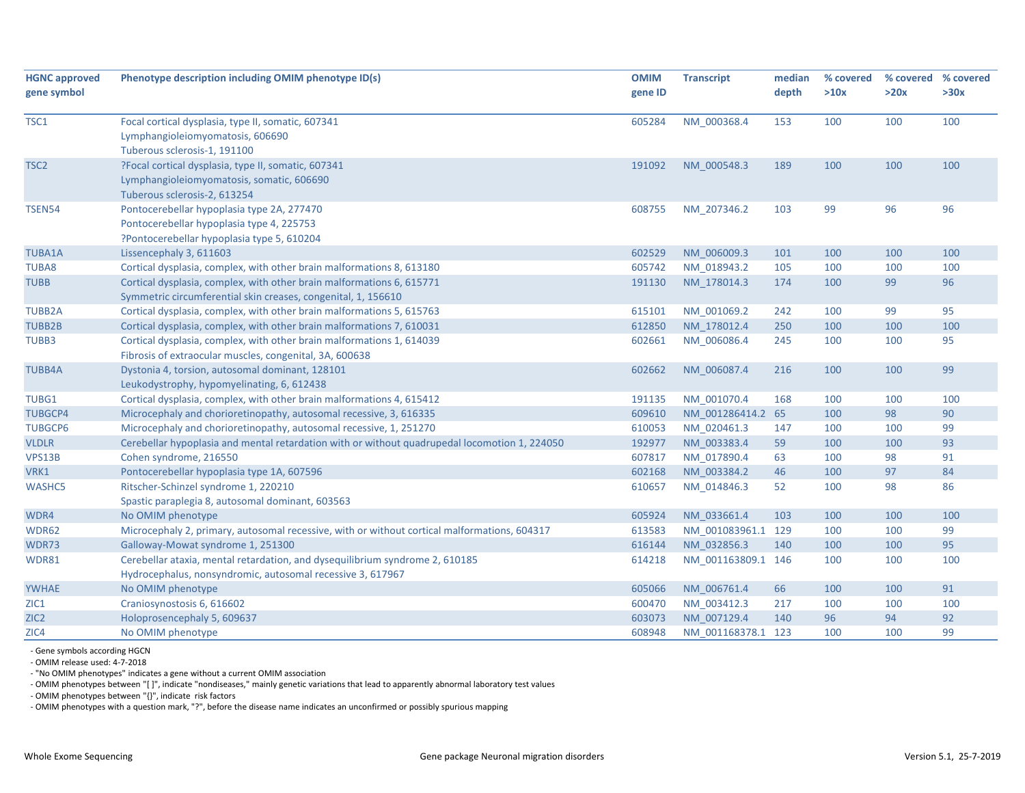| <b>HGNC approved</b><br>gene symbol | Phenotype description including OMIM phenotype ID(s)                                                                                       | <b>OMIM</b><br>gene ID | <b>Transcript</b>  | median<br>depth | % covered<br>>10x | % covered<br>>20x | % covered<br>>30x |
|-------------------------------------|--------------------------------------------------------------------------------------------------------------------------------------------|------------------------|--------------------|-----------------|-------------------|-------------------|-------------------|
| TSC1                                | Focal cortical dysplasia, type II, somatic, 607341<br>Lymphangioleiomyomatosis, 606690<br>Tuberous sclerosis-1, 191100                     | 605284                 | NM_000368.4        | 153             | 100               | 100               | 100               |
| TSC <sub>2</sub>                    | ?Focal cortical dysplasia, type II, somatic, 607341<br>Lymphangioleiomyomatosis, somatic, 606690<br>Tuberous sclerosis-2, 613254           | 191092                 | NM 000548.3        | 189             | 100               | 100               | 100               |
| <b>TSEN54</b>                       | Pontocerebellar hypoplasia type 2A, 277470<br>Pontocerebellar hypoplasia type 4, 225753<br>?Pontocerebellar hypoplasia type 5, 610204      | 608755                 | NM_207346.2        | 103             | 99                | 96                | 96                |
| <b>TUBA1A</b>                       | Lissencephaly 3, 611603                                                                                                                    | 602529                 | NM 006009.3        | 101             | 100               | 100               | 100               |
| TUBA8                               | Cortical dysplasia, complex, with other brain malformations 8, 613180                                                                      | 605742                 | NM_018943.2        | 105             | 100               | 100               | 100               |
| <b>TUBB</b>                         | Cortical dysplasia, complex, with other brain malformations 6, 615771<br>Symmetric circumferential skin creases, congenital, 1, 156610     | 191130                 | NM 178014.3        | 174             | 100               | 99                | 96                |
| <b>TUBB2A</b>                       | Cortical dysplasia, complex, with other brain malformations 5, 615763                                                                      | 615101                 | NM_001069.2        | 242             | 100               | 99                | 95                |
| <b>TUBB2B</b>                       | Cortical dysplasia, complex, with other brain malformations 7, 610031                                                                      | 612850                 | NM 178012.4        | 250             | 100               | 100               | 100               |
| TUBB3                               | Cortical dysplasia, complex, with other brain malformations 1, 614039<br>Fibrosis of extraocular muscles, congenital, 3A, 600638           | 602661                 | NM_006086.4        | 245             | 100               | 100               | 95                |
| <b>TUBB4A</b>                       | Dystonia 4, torsion, autosomal dominant, 128101<br>Leukodystrophy, hypomyelinating, 6, 612438                                              | 602662                 | NM_006087.4        | 216             | 100               | 100               | 99                |
| TUBG1                               | Cortical dysplasia, complex, with other brain malformations 4, 615412                                                                      | 191135                 | NM_001070.4        | 168             | 100               | 100               | 100               |
| <b>TUBGCP4</b>                      | Microcephaly and chorioretinopathy, autosomal recessive, 3, 616335                                                                         | 609610                 | NM 001286414.2 65  |                 | 100               | 98                | 90                |
| <b>TUBGCP6</b>                      | Microcephaly and chorioretinopathy, autosomal recessive, 1, 251270                                                                         | 610053                 | NM 020461.3        | 147             | 100               | 100               | 99                |
| <b>VLDLR</b>                        | Cerebellar hypoplasia and mental retardation with or without quadrupedal locomotion 1, 224050                                              | 192977                 | NM 003383.4        | 59              | 100               | 100               | 93                |
| VPS13B                              | Cohen syndrome, 216550                                                                                                                     | 607817                 | NM 017890.4        | 63              | 100               | 98                | 91                |
| VRK1                                | Pontocerebellar hypoplasia type 1A, 607596                                                                                                 | 602168                 | NM 003384.2        | 46              | 100               | 97                | 84                |
| <b>WASHC5</b>                       | Ritscher-Schinzel syndrome 1, 220210<br>Spastic paraplegia 8, autosomal dominant, 603563                                                   | 610657                 | NM 014846.3        | 52              | 100               | 98                | 86                |
| WDR4                                | No OMIM phenotype                                                                                                                          | 605924                 | NM 033661.4        | 103             | 100               | 100               | 100               |
| WDR62                               | Microcephaly 2, primary, autosomal recessive, with or without cortical malformations, 604317                                               | 613583                 | NM_001083961.1 129 |                 | 100               | 100               | 99                |
| WDR73                               | Galloway-Mowat syndrome 1, 251300                                                                                                          | 616144                 | NM 032856.3        | 140             | 100               | 100               | 95                |
| WDR81                               | Cerebellar ataxia, mental retardation, and dysequilibrium syndrome 2, 610185<br>Hydrocephalus, nonsyndromic, autosomal recessive 3, 617967 | 614218                 | NM 001163809.1 146 |                 | 100               | 100               | 100               |
| <b>YWHAE</b>                        | No OMIM phenotype                                                                                                                          | 605066                 | NM 006761.4        | 66              | 100               | 100               | 91                |
| ZIC1                                | Craniosynostosis 6, 616602                                                                                                                 | 600470                 | NM 003412.3        | 217             | 100               | 100               | 100               |
| ZIC <sub>2</sub>                    | Holoprosencephaly 5, 609637                                                                                                                | 603073                 | NM 007129.4        | 140             | 96                | 94                | 92                |
| ZIC4                                | No OMIM phenotype                                                                                                                          | 608948                 | NM 001168378.1 123 |                 | 100               | 100               | 99                |

‐ Gene symbols according HGCN

‐ OMIM release used: 4‐7‐2018

‐ "No OMIM phenotypes" indicates <sup>a</sup> gene without <sup>a</sup> current OMIM association

‐ OMIM phenotypes between "[ ]", indicate "nondiseases," mainly genetic variations that lead to apparently abnormal laboratory test values

‐ OMIM phenotypes between "{}", indicate risk factors

‐ OMIM phenotypes with <sup>a</sup> question mark, "?", before the disease name indicates an unconfirmed or possibly spurious mapping